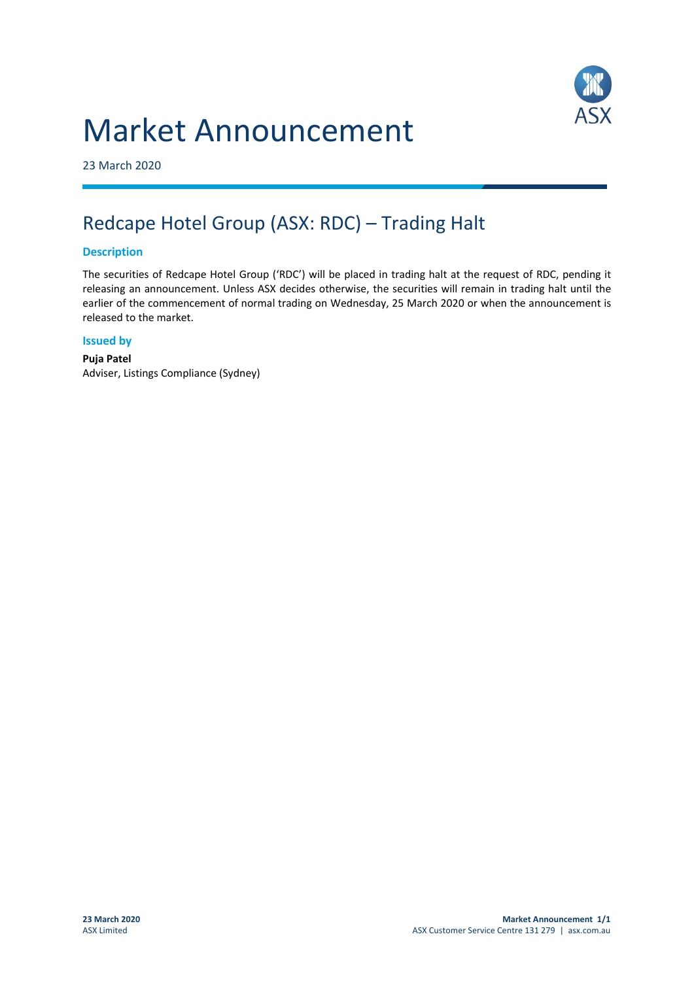# Market Announcement



23 March 2020

## Redcape Hotel Group (ASX: RDC) – Trading Halt

### **Description**

The securities of Redcape Hotel Group ('RDC') will be placed in trading halt at the request of RDC, pending it releasing an announcement. Unless ASX decides otherwise, the securities will remain in trading halt until the earlier of the commencement of normal trading on Wednesday, 25 March 2020 or when the announcement is released to the market.

#### **Issued by**

**Puja Patel** Adviser, Listings Compliance (Sydney)